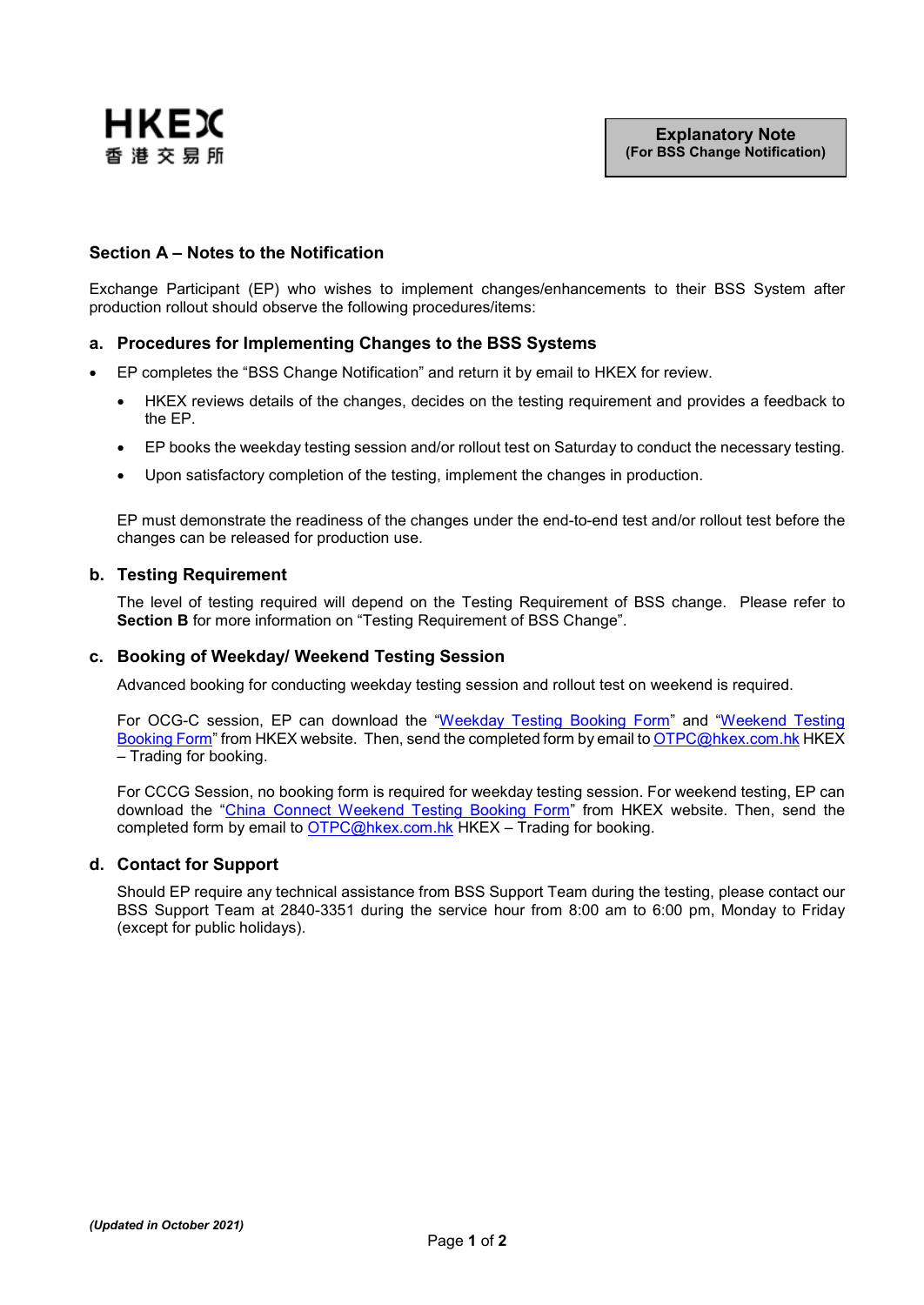

## **Section A – Notes to the Notification**

Exchange Participant (EP) who wishes to implement changes/enhancements to their BSS System after production rollout should observe the following procedures/items:

### **a. Procedures for Implementing Changes to the BSS Systems**

- EP completes the "BSS Change Notification" and return it by email to HKEX for review.
	- HKEX reviews details of the changes, decides on the testing requirement and provides a feedback to the EP.
	- EP books the weekday testing session and/or rollout test on Saturday to conduct the necessary testing.
	- Upon satisfactory completion of the testing, implement the changes in production.

EP must demonstrate the readiness of the changes under the end-to-end test and/or rollout test before the changes can be released for production use.

#### **b. Testing Requirement**

The level of testing required will depend on the Testing Requirement of BSS change. Please refer to **Section B** for more information on "Testing Requirement of BSS Change".

#### **c. Booking of Weekday/ Weekend Testing Session**

Advanced booking for conducting weekday testing session and rollout test on weekend is required.

For OCG-C session, EP can download the ["Weekday Testing Booking Form"](https://www.hkex.com.hk/-/media/HKEX-Market/Services/Rules-and-Forms-and-Fees/Forms/Securities-(Hong-Kong)/Trading/Operations/Testing/WeekdayBookingForm.pdf?la=en) and ["Weekend Testing](https://www.hkex.com.hk/-/media/HKEX-Market/Services/Rules-and-Forms-and-Fees/Forms/Securities-(Hong-Kong)/Trading/Operations/Testing/Weekend-Booking-Form.pdf?la=en) [Booking Form"](https://www.hkex.com.hk/-/media/HKEX-Market/Services/Rules-and-Forms-and-Fees/Forms/Securities-(Hong-Kong)/Trading/Operations/Testing/Weekend-Booking-Form.pdf?la=en) from HKEX website. Then, send the completed form by email t[o OTPC@hkex.com.hk](mailto:OTPC@hkex.com.hk) HKEX – Trading for booking.

For CCCG Session, no booking form is required for weekday testing session. For weekend testing, EP can download the ["China Connect Weekend Testing Booking Form"](https://www.hkex.com.hk/-/media/HKEX-Market/Services/Rules-and-Forms-and-Fees/Forms/Securities-(Stock-Connect)/Trading/Operations/Testing/Weekend-Booking-Form-for-China-Connect.pdf?la=en) from HKEX website. Then, send the completed form by email to  $OTPC@h$ kex.com.hk HKEX – Trading for booking.

#### **d. Contact for Support**

Should EP require any technical assistance from BSS Support Team during the testing, please contact our BSS Support Team at 2840-3351 during the service hour from 8:00 am to 6:00 pm, Monday to Friday (except for public holidays).